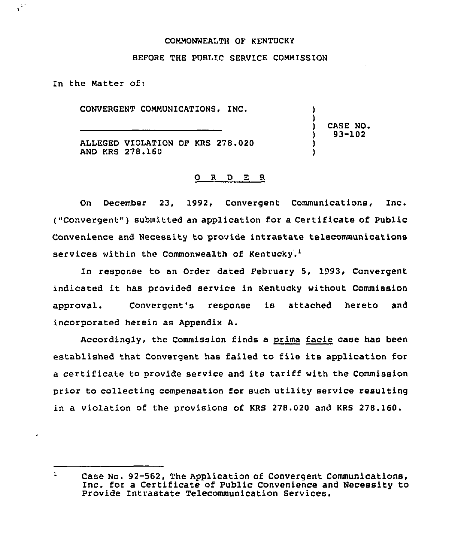#### COMMONWEALTH OF KENTUCKY

#### BEFORE THE PUBLIC SERVICE COMMISSION

In the Matter of:

Ö.

CONVERGENT COMMUNICATIONS, INC.

) CASE NO, ) 93-102

) )

) )

ALLEGED VIOLATION OF KRS 278.020 AND KRS 278.160

### 0 <sup>R</sup> <sup>D</sup> E R

On December 23, 1992, Convergent Communications, Inc. ("Convergent" ) submitted an application for <sup>a</sup> Certificate of Public Convenience and Necessity to provide intrastate telecommunications services within the Commonwealth of Kentucky.<sup>1</sup>

In response to an Order dated February 5, 1993, Convergent indicated it has provided service in Kentucky without Commission approval. Convergent's response is attached hereto and incorporated herein as Appendix A.

Accordingly, the Commission finds a prima facie case has been established that Convergent has failed to file its application for a certificate to provide service and its tariff with the Commission prior to collecting compensation for such utility service resulting in a violation of the provisions of KRS 278.020 and KRS 278.160.

 $\mathbf{1}$ Case No. 92-562, The Application of Convergent Communications, Inc. for <sup>a</sup> Certificate of Public Convenience and Necessity to Provide Intrastate Telecommunication Services.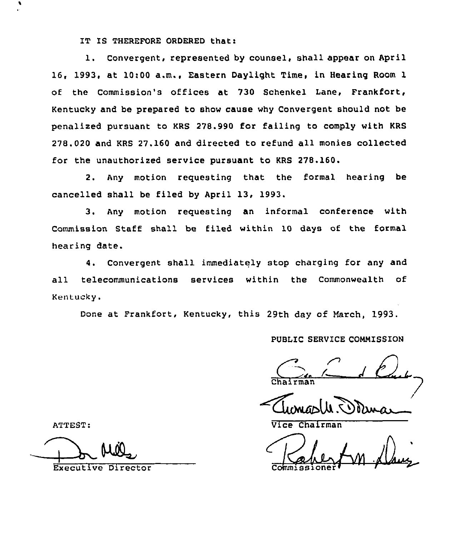IT IS THEREFORE ORDERED that:

1. Convergent, represented by counsel, shall appear on April 16, 1993, at 10:00 a.m., Eastern Daylight Time, in Hearing Room 1 of the Commission's offices at 730 Schenkel Lane, Frankfort, Kentucky and be prepared to show cause why Convergent should not be penalized pursuant to KRS 278.990 for failing to comply with KRS 278.020 and KRS 27.160 and directed to refund all monies collected for the unauthorized service pursuant to KRS 278.160.

2. Any motion requesting that the formal hearing be cancelled shall be filed by April 13, 1993.

3. Any motion requesting an informal conference with Commission Staff shall be filed within 10 days of the formal hearing date.

4. Convergent shall immediately stop charging for any and all telecommunications services within the Commonwealth of Kentucky.

Done at Frankfort, Kentucky, this 29th day of March, 1993.

## PUBLIC SERVICE COMMISSION

./ Chairman

ATTEST: Vice Chairman

Commission

Executive Director